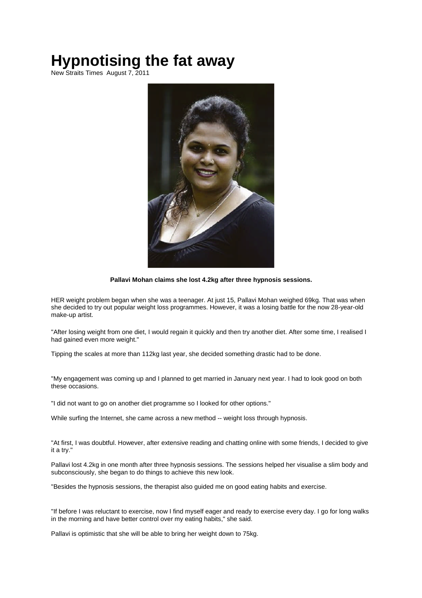# **Hypnotising the fat away**

New Straits Times August 7, 2011



**Pallavi Mohan claims she lost 4.2kg after three hypnosis sessions.**

HER weight problem began when she was a teenager. At just 15, Pallavi Mohan weighed 69kg. That was when she decided to try out popular weight loss programmes. However, it was a losing battle for the now 28-year-old make-up artist.

"After losing weight from one diet, I would regain it quickly and then try another diet. After some time, I realised I had gained even more weight."

Tipping the scales at more than 112kg last year, she decided something drastic had to be done.

"My engagement was coming up and I planned to get married in January next year. I had to look good on both these occasions.

"I did not want to go on another diet programme so I looked for other options."

While surfing the Internet, she came across a new method -- weight loss through hypnosis.

"At first, I was doubtful. However, after extensive reading and chatting online with some friends, I decided to give it a try."

Pallavi lost 4.2kg in one month after three hypnosis sessions. The sessions helped her visualise a slim body and subconsciously, she began to do things to achieve this new look.

"Besides the hypnosis sessions, the therapist also guided me on good eating habits and exercise.

"If before I was reluctant to exercise, now I find myself eager and ready to exercise every day. I go for long walks in the morning and have better control over my eating habits," she said.

Pallavi is optimistic that she will be able to bring her weight down to 75kg.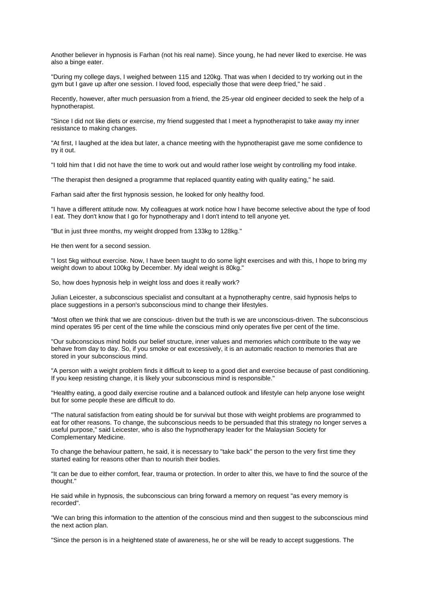Another believer in hypnosis is Farhan (not his real name). Since young, he had never liked to exercise. He was also a binge eater.

"During my college days, I weighed between 115 and 120kg. That was when I decided to try working out in the gym but I gave up after one session. I loved food, especially those that were deep fried," he said .

Recently, however, after much persuasion from a friend, the 25-year old engineer decided to seek the help of a hypnotherapist.

"Since I did not like diets or exercise, my friend suggested that I meet a hypnotherapist to take away my inner resistance to making changes.

"At first, I laughed at the idea but later, a chance meeting with the hypnotherapist gave me some confidence to try it out.

"I told him that I did not have the time to work out and would rather lose weight by controlling my food intake.

"The therapist then designed a programme that replaced quantity eating with quality eating," he said.

Farhan said after the first hypnosis session, he looked for only healthy food.

"I have a different attitude now. My colleagues at work notice how I have become selective about the type of food I eat. They don't know that I go for hypnotherapy and I don't intend to tell anyone yet.

"But in just three months, my weight dropped from 133kg to 128kg."

He then went for a second session.

"I lost 5kg without exercise. Now, I have been taught to do some light exercises and with this, I hope to bring my weight down to about 100kg by December. My ideal weight is 80kg."

So, how does hypnosis help in weight loss and does it really work?

Julian Leicester, a subconscious specialist and consultant at a hypnotheraphy centre, said hypnosis helps to place suggestions in a person's subconscious mind to change their lifestyles.

"Most often we think that we are conscious- driven but the truth is we are unconscious-driven. The subconscious mind operates 95 per cent of the time while the conscious mind only operates five per cent of the time.

"Our subconscious mind holds our belief structure, inner values and memories which contribute to the way we behave from day to day. So, if you smoke or eat excessively, it is an automatic reaction to memories that are stored in your subconscious mind.

"A person with a weight problem finds it difficult to keep to a good diet and exercise because of past conditioning. If you keep resisting change, it is likely your subconscious mind is responsible."

"Healthy eating, a good daily exercise routine and a balanced outlook and lifestyle can help anyone lose weight but for some people these are difficult to do.

"The natural satisfaction from eating should be for survival but those with weight problems are programmed to eat for other reasons. To change, the subconscious needs to be persuaded that this strategy no longer serves a useful purpose," said Leicester, who is also the hypnotherapy leader for the Malaysian Society for Complementary Medicine.

To change the behaviour pattern, he said, it is necessary to "take back" the person to the very first time they started eating for reasons other than to nourish their bodies.

"It can be due to either comfort, fear, trauma or protection. In order to alter this, we have to find the source of the thought."

He said while in hypnosis, the subconscious can bring forward a memory on request "as every memory is recorded".

"We can bring this information to the attention of the conscious mind and then suggest to the subconscious mind the next action plan.

"Since the person is in a heightened state of awareness, he or she will be ready to accept suggestions. The